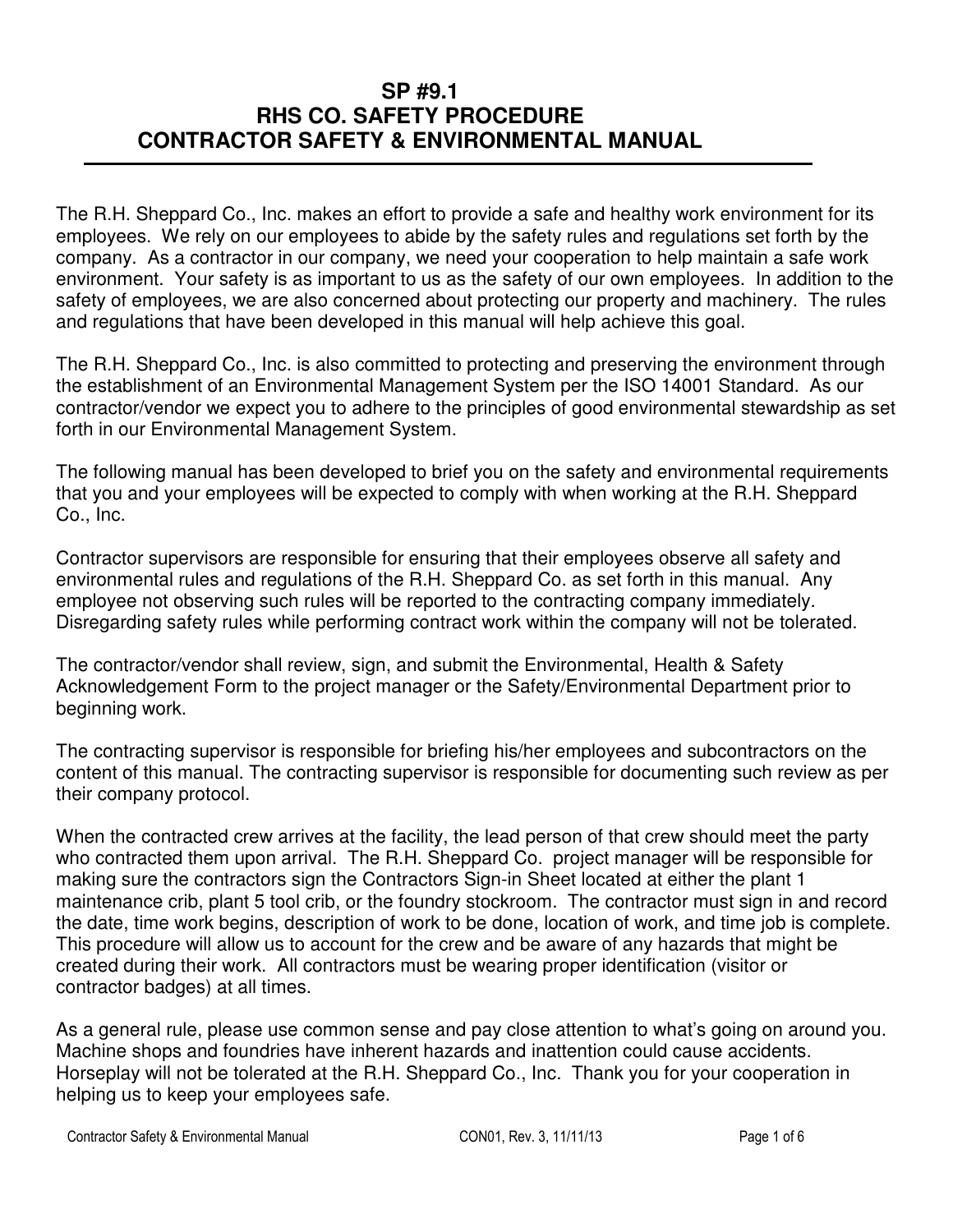The R.H. Sheppard Co., Inc. makes an effort to provide a safe and healthy work environment for its employees. We rely on our employees to abide by the safety rules and regulations set forth by the company. As a contractor in our company, we need your cooperation to help maintain a safe work environment. Your safety is as important to us as the safety of our own employees. In addition to the safety of employees, we are also concerned about protecting our property and machinery. The rules and regulations that have been developed in this manual will help achieve this goal.

The R.H. Sheppard Co., Inc. is also committed to protecting and preserving the environment through the establishment of an Environmental Management System per the ISO 14001 Standard. As our contractor/vendor we expect you to adhere to the principles of good environmental stewardship as set forth in our Environmental Management System.

The following manual has been developed to brief you on the safety and environmental requirements that you and your employees will be expected to comply with when working at the R.H. Sheppard Co., Inc.

Contractor supervisors are responsible for ensuring that their employees observe all safety and environmental rules and regulations of the R.H. Sheppard Co. as set forth in this manual. Any employee not observing such rules will be reported to the contracting company immediately. Disregarding safety rules while performing contract work within the company will not be tolerated.

The contractor/vendor shall review, sign, and submit the Environmental, Health & Safety Acknowledgement Form to the project manager or the Safety/Environmental Department prior to beginning work.

The contracting supervisor is responsible for briefing his/her employees and subcontractors on the content of this manual. The contracting supervisor is responsible for documenting such review as per their company protocol.

When the contracted crew arrives at the facility, the lead person of that crew should meet the party who contracted them upon arrival. The R.H. Sheppard Co. project manager will be responsible for making sure the contractors sign the Contractors Sign-in Sheet located at either the plant 1 maintenance crib, plant 5 tool crib, or the foundry stockroom. The contractor must sign in and record the date, time work begins, description of work to be done, location of work, and time job is complete. This procedure will allow us to account for the crew and be aware of any hazards that might be created during their work. All contractors must be wearing proper identification (visitor or contractor badges) at all times.

As a general rule, please use common sense and pay close attention to what's going on around you. Machine shops and foundries have inherent hazards and inattention could cause accidents. Horseplay will not be tolerated at the R.H. Sheppard Co., Inc. Thank you for your cooperation in helping us to keep your employees safe.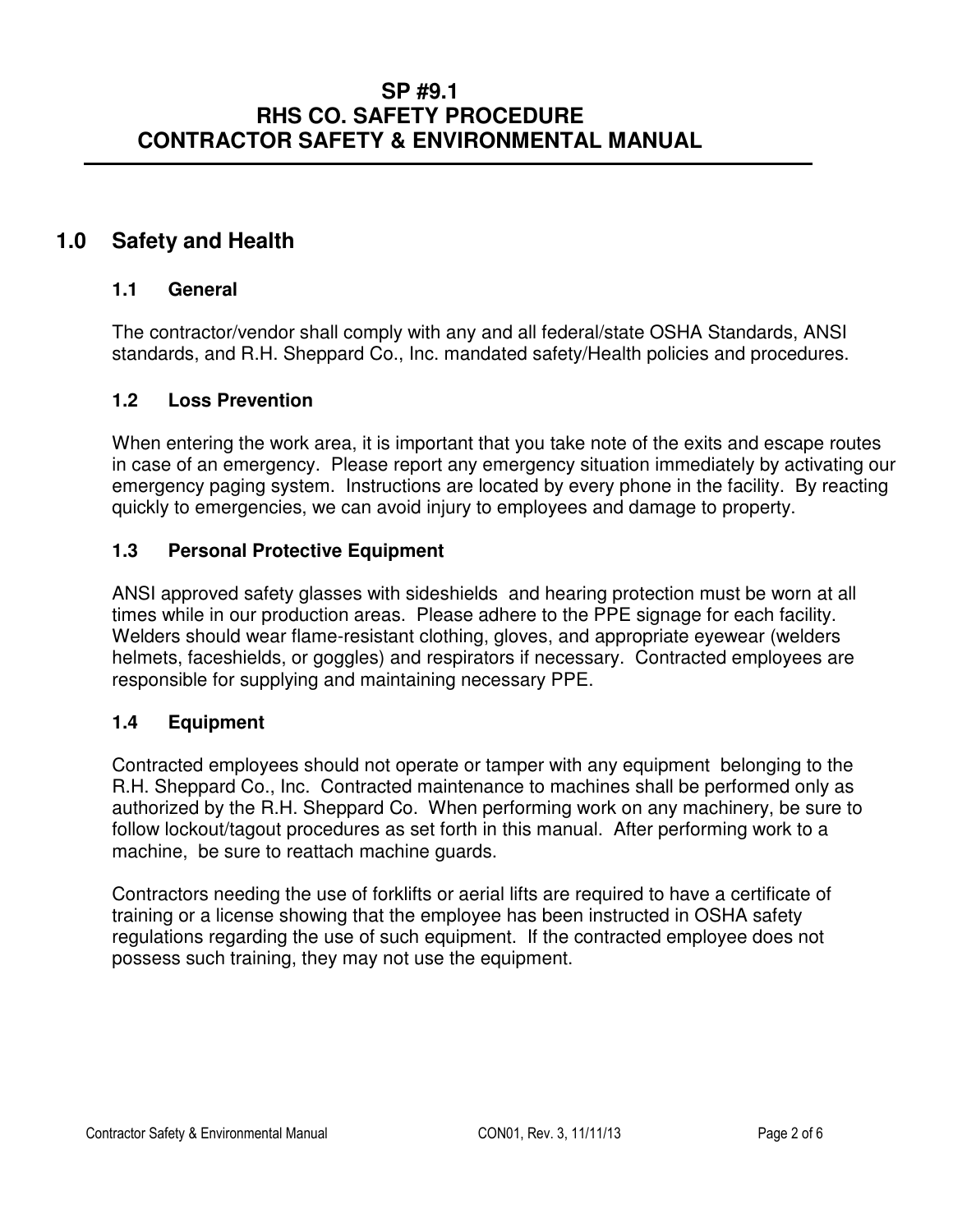# **1.0 Safety and Health**

#### **1.1 General**

The contractor/vendor shall comply with any and all federal/state OSHA Standards, ANSI standards, and R.H. Sheppard Co., Inc. mandated safety/Health policies and procedures.

#### **1.2 Loss Prevention**

When entering the work area, it is important that you take note of the exits and escape routes in case of an emergency. Please report any emergency situation immediately by activating our emergency paging system. Instructions are located by every phone in the facility. By reacting quickly to emergencies, we can avoid injury to employees and damage to property.

#### **1.3 Personal Protective Equipment**

ANSI approved safety glasses with sideshields and hearing protection must be worn at all times while in our production areas. Please adhere to the PPE signage for each facility. Welders should wear flame-resistant clothing, gloves, and appropriate eyewear (welders helmets, faceshields, or goggles) and respirators if necessary. Contracted employees are responsible for supplying and maintaining necessary PPE.

#### **1.4 Equipment**

Contracted employees should not operate or tamper with any equipment belonging to the R.H. Sheppard Co., Inc. Contracted maintenance to machines shall be performed only as authorized by the R.H. Sheppard Co. When performing work on any machinery, be sure to follow lockout/tagout procedures as set forth in this manual. After performing work to a machine, be sure to reattach machine guards.

Contractors needing the use of forklifts or aerial lifts are required to have a certificate of training or a license showing that the employee has been instructed in OSHA safety regulations regarding the use of such equipment. If the contracted employee does not possess such training, they may not use the equipment.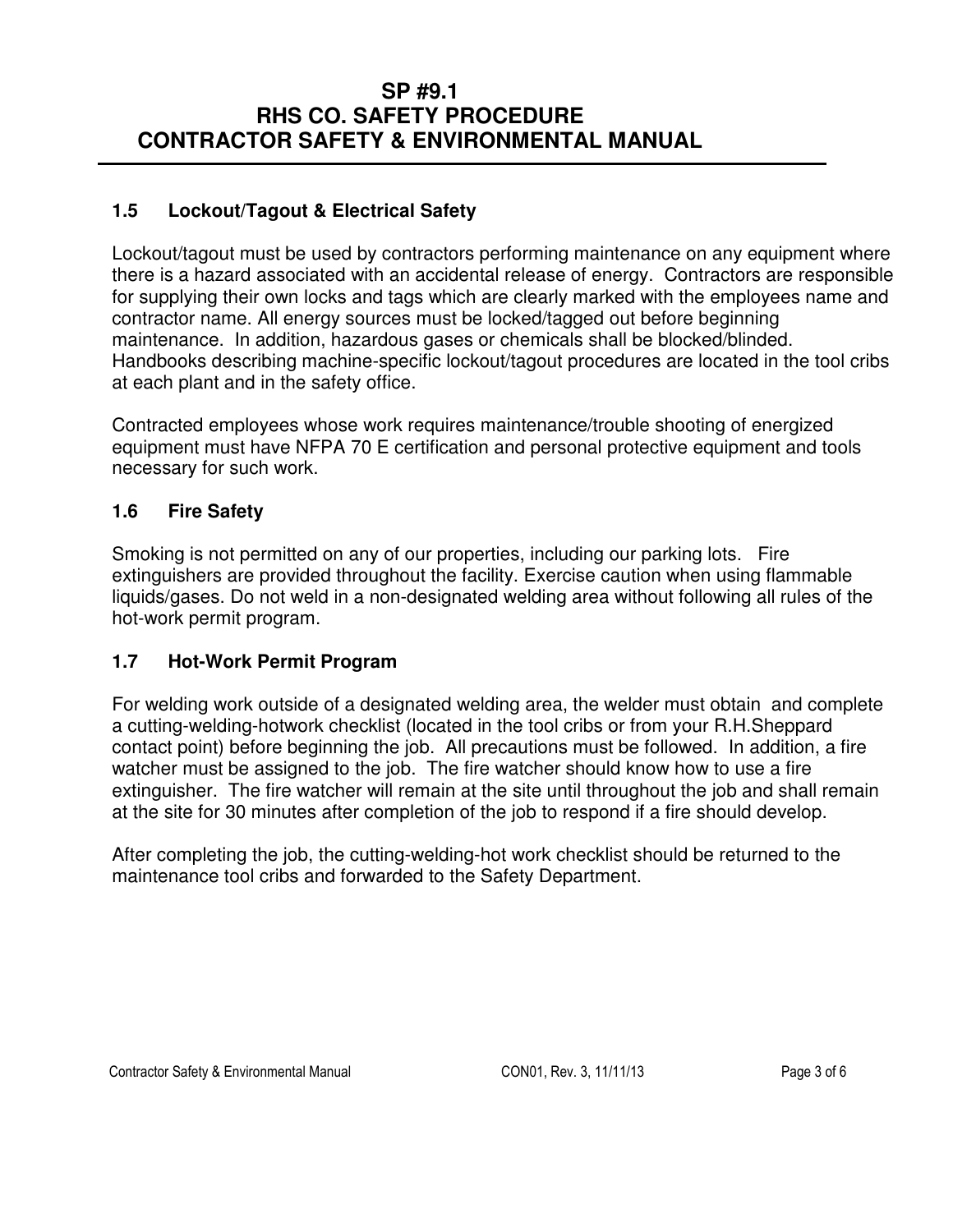### **1.5 Lockout/Tagout & Electrical Safety**

Lockout/tagout must be used by contractors performing maintenance on any equipment where there is a hazard associated with an accidental release of energy. Contractors are responsible for supplying their own locks and tags which are clearly marked with the employees name and contractor name. All energy sources must be locked/tagged out before beginning maintenance. In addition, hazardous gases or chemicals shall be blocked/blinded. Handbooks describing machine-specific lockout/tagout procedures are located in the tool cribs at each plant and in the safety office.

Contracted employees whose work requires maintenance/trouble shooting of energized equipment must have NFPA 70 E certification and personal protective equipment and tools necessary for such work.

### **1.6 Fire Safety**

Smoking is not permitted on any of our properties, including our parking lots. Fire extinguishers are provided throughout the facility. Exercise caution when using flammable liquids/gases. Do not weld in a non-designated welding area without following all rules of the hot-work permit program.

#### **1.7 Hot-Work Permit Program**

For welding work outside of a designated welding area, the welder must obtain and complete a cutting-welding-hotwork checklist (located in the tool cribs or from your R.H.Sheppard contact point) before beginning the job. All precautions must be followed. In addition, a fire watcher must be assigned to the job. The fire watcher should know how to use a fire extinguisher. The fire watcher will remain at the site until throughout the job and shall remain at the site for 30 minutes after completion of the job to respond if a fire should develop.

After completing the job, the cutting-welding-hot work checklist should be returned to the maintenance tool cribs and forwarded to the Safety Department.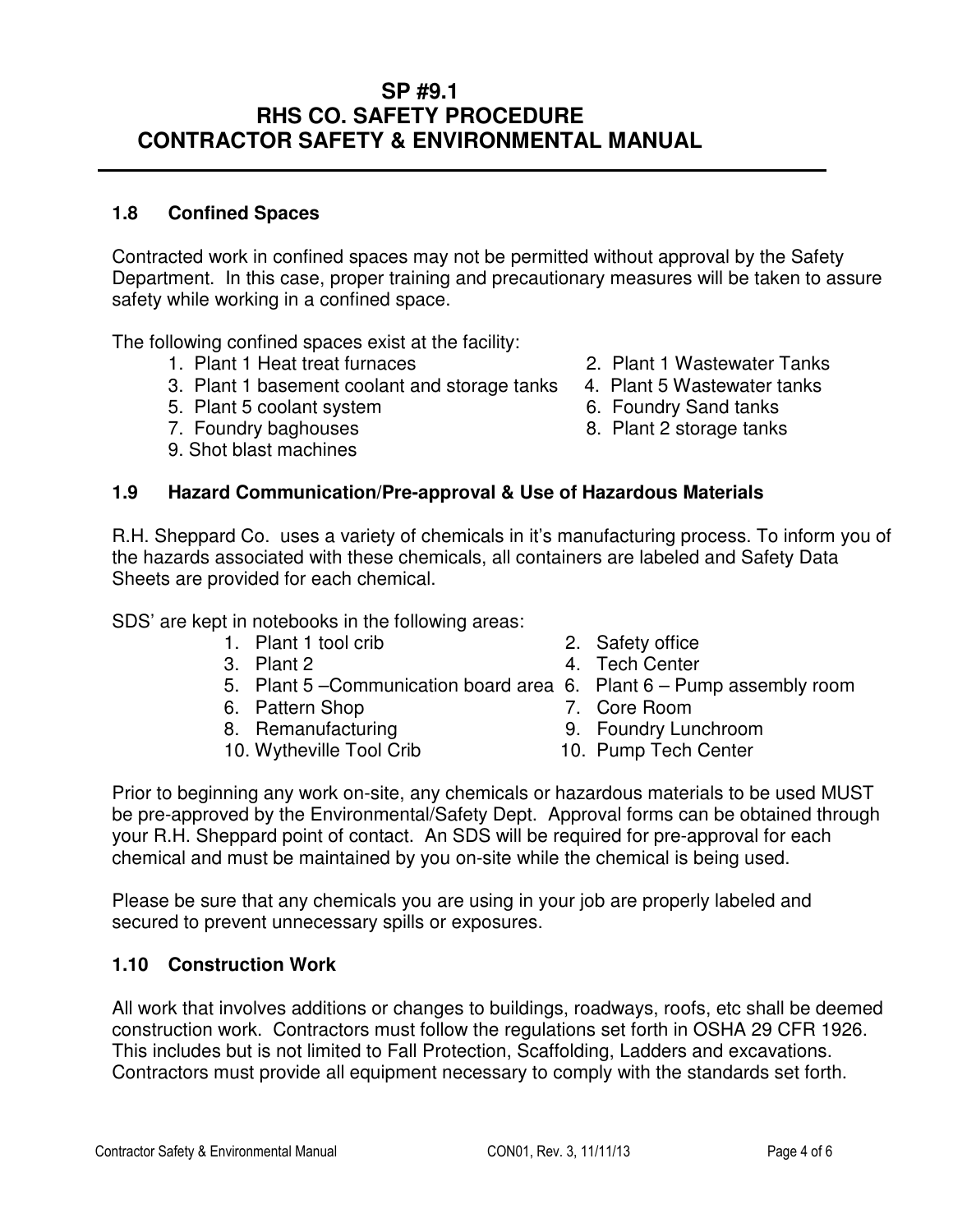## **1.8 Confined Spaces**

Contracted work in confined spaces may not be permitted without approval by the Safety Department. In this case, proper training and precautionary measures will be taken to assure safety while working in a confined space.

The following confined spaces exist at the facility:

- 
- 1. Plant 1 Heat treat furnaces 2. Plant 1 Wastewater Tanks<br>3. Plant 1 basement coolant and storage tanks 4. Plant 5 Wastewater tanks 3. Plant 1 basement coolant and storage tanks
- 5. Plant 5 coolant system 6. Foundry Sand tanks
- 
- 9. Shot blast machines
- 
- 
- 
- 7. Foundry baghouses 8. Plant 2 storage tanks

### **1.9 Hazard Communication/Pre-approval & Use of Hazardous Materials**

R.H. Sheppard Co. uses a variety of chemicals in it's manufacturing process. To inform you of the hazards associated with these chemicals, all containers are labeled and Safety Data Sheets are provided for each chemical.

SDS' are kept in notebooks in the following areas:

- 1. Plant 1 tool crib 2. Safety office
- 
- 5. Plant 5 –Communication board area 6. Plant 6 Pump assembly room
- 6. Pattern Shop 7. Core Room
- 
- 10. Wytheville Tool Crib 10. Pump Tech Center
- 
- 3. Plant 2 4. Tech Center
	- -
- 8. Remanufacturing 8. Foundry Lunchroom
	-

 Prior to beginning any work on-site, any chemicals or hazardous materials to be used MUST be pre-approved by the Environmental/Safety Dept. Approval forms can be obtained through your R.H. Sheppard point of contact. An SDS will be required for pre-approval for each chemical and must be maintained by you on-site while the chemical is being used.

 Please be sure that any chemicals you are using in your job are properly labeled and secured to prevent unnecessary spills or exposures.

### **1.10 Construction Work**

All work that involves additions or changes to buildings, roadways, roofs, etc shall be deemed construction work. Contractors must follow the regulations set forth in OSHA 29 CFR 1926. This includes but is not limited to Fall Protection, Scaffolding, Ladders and excavations. Contractors must provide all equipment necessary to comply with the standards set forth.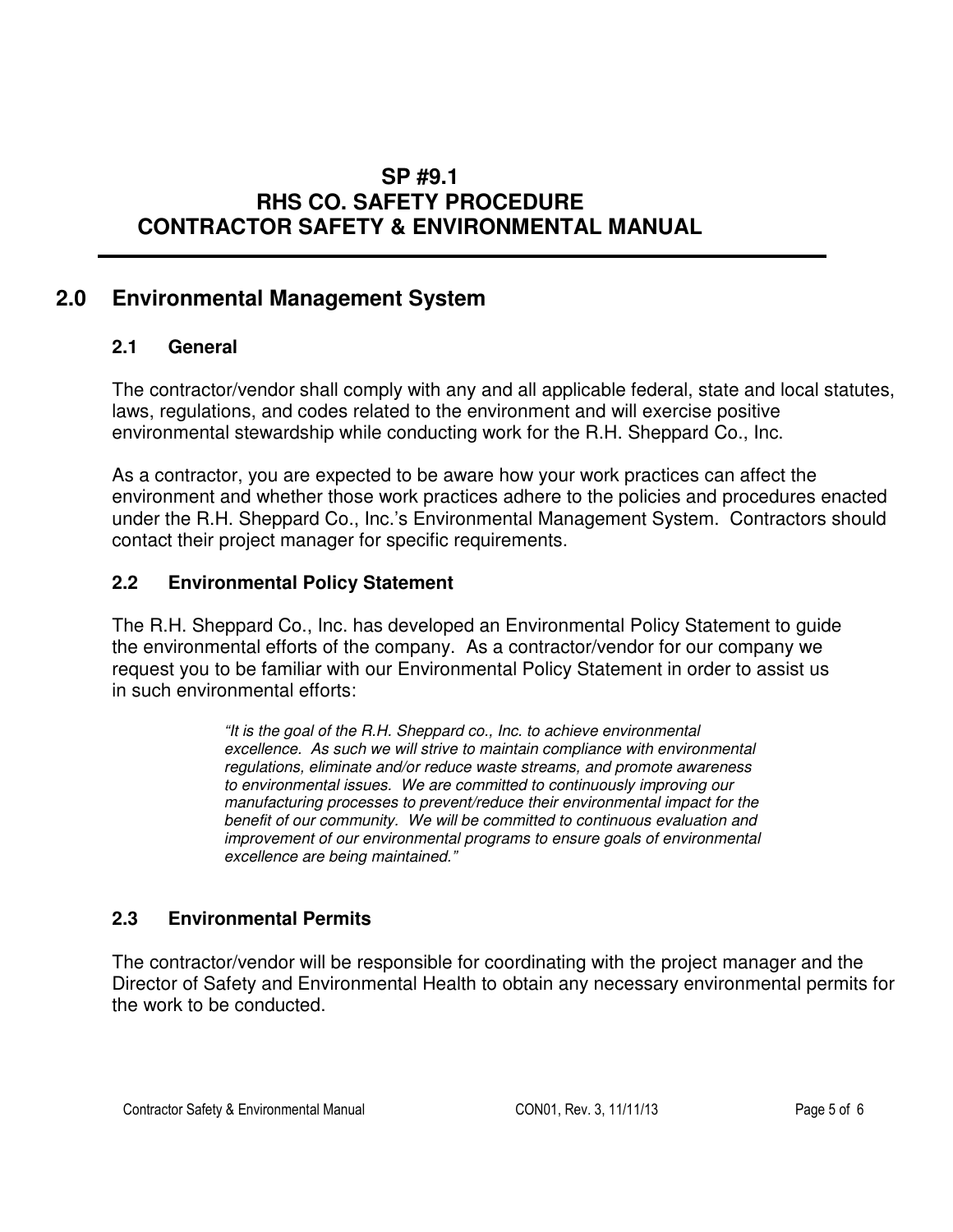# **2.0 Environmental Management System**

### **2.1 General**

The contractor/vendor shall comply with any and all applicable federal, state and local statutes, laws, regulations, and codes related to the environment and will exercise positive environmental stewardship while conducting work for the R.H. Sheppard Co., Inc.

As a contractor, you are expected to be aware how your work practices can affect the environment and whether those work practices adhere to the policies and procedures enacted under the R.H. Sheppard Co., Inc.'s Environmental Management System. Contractors should contact their project manager for specific requirements.

### **2.2 Environmental Policy Statement**

The R.H. Sheppard Co., Inc. has developed an Environmental Policy Statement to guide the environmental efforts of the company. As a contractor/vendor for our company we request you to be familiar with our Environmental Policy Statement in order to assist us in such environmental efforts:

> "It is the goal of the R.H. Sheppard co., Inc. to achieve environmental excellence. As such we will strive to maintain compliance with environmental regulations, eliminate and/or reduce waste streams, and promote awareness to environmental issues. We are committed to continuously improving our manufacturing processes to prevent/reduce their environmental impact for the benefit of our community. We will be committed to continuous evaluation and improvement of our environmental programs to ensure goals of environmental excellence are being maintained."

### **2.3 Environmental Permits**

The contractor/vendor will be responsible for coordinating with the project manager and the Director of Safety and Environmental Health to obtain any necessary environmental permits for the work to be conducted.